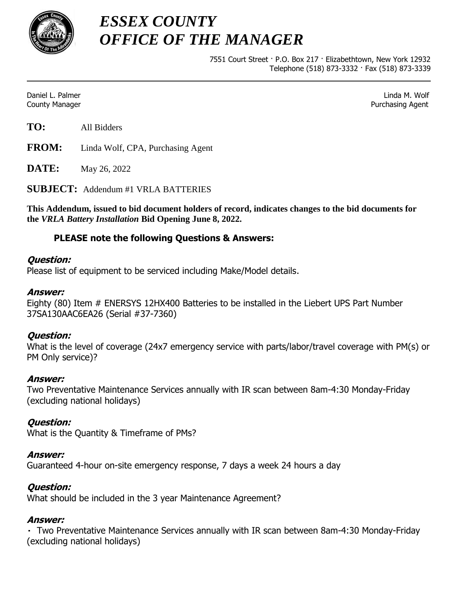

*ESSEX COUNTY OFFICE OF THE MANAGER*

> 7551 Court Street · P.O. Box 217 · Elizabethtown, New York 12932 Telephone (518) 873-3332 · Fax (518) 873-3339

Daniel L. Palmer Linda M. Wolf County Manager Purchasing Agent

**TO:** All Bidders

**FROM:** Linda Wolf, CPA, Purchasing Agent

**DATE:** May 26, 2022

**SUBJECT:** Addendum #1 VRLA BATTERIES

**This Addendum, issued to bid document holders of record, indicates changes to the bid documents for the** *VRLA Battery Installation* **Bid Opening June 8, 2022.**

# **PLEASE note the following Questions & Answers:**

### **Question:**

Please list of equipment to be serviced including Make/Model details.

## **Answer:**

Eighty (80) Item # ENERSYS 12HX400 Batteries to be installed in the Liebert UPS Part Number 37SA130AAC6EA26 (Serial #37-7360)

### **Question:**

What is the level of coverage (24x7 emergency service with parts/labor/travel coverage with PM(s) or PM Only service)?

### **Answer:**

Two Preventative Maintenance Services annually with IR scan between 8am-4:30 Monday-Friday (excluding national holidays)

# **Question:**

What is the Quantity & Timeframe of PMs?

### **Answer:**

Guaranteed 4-hour on-site emergency response, 7 days a week 24 hours a day

# **Question:**

What should be included in the 3 year Maintenance Agreement?

### **Answer:**

 Two Preventative Maintenance Services annually with IR scan between 8am-4:30 Monday-Friday (excluding national holidays)